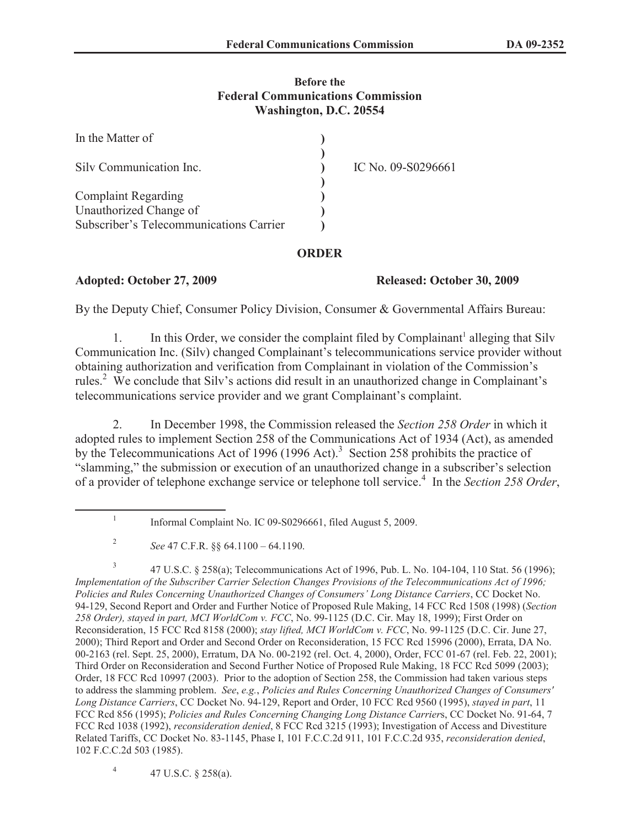### **Before the Federal Communications Commission Washington, D.C. 20554**

| In the Matter of                        |                    |
|-----------------------------------------|--------------------|
| Silv Communication Inc.                 | IC No. 09-S0296661 |
| <b>Complaint Regarding</b>              |                    |
| Unauthorized Change of                  |                    |
| Subscriber's Telecommunications Carrier |                    |

# **ORDER**

## **Adopted: October 27, 2009 Released: October 30, 2009**

By the Deputy Chief, Consumer Policy Division, Consumer & Governmental Affairs Bureau:

1. In this Order, we consider the complaint filed by Complainant<sup>1</sup> alleging that Silv Communication Inc. (Silv) changed Complainant's telecommunications service provider without obtaining authorization and verification from Complainant in violation of the Commission's rules.<sup>2</sup> We conclude that Silv's actions did result in an unauthorized change in Complainant's telecommunications service provider and we grant Complainant's complaint.

2. In December 1998, the Commission released the *Section 258 Order* in which it adopted rules to implement Section 258 of the Communications Act of 1934 (Act), as amended by the Telecommunications Act of 1996 (1996 Act).<sup>3</sup> Section 258 prohibits the practice of "slamming," the submission or execution of an unauthorized change in a subscriber's selection of a provider of telephone exchange service or telephone toll service.<sup>4</sup> In the *Section 258 Order*,

4 47 U.S.C. § 258(a).

<sup>1</sup> Informal Complaint No. IC 09-S0296661, filed August 5, 2009.

<sup>2</sup> *See* 47 C.F.R. §§ 64.1100 – 64.1190.

<sup>3</sup> 47 U.S.C. § 258(a); Telecommunications Act of 1996, Pub. L. No. 104-104, 110 Stat. 56 (1996); *Implementation of the Subscriber Carrier Selection Changes Provisions of the Telecommunications Act of 1996; Policies and Rules Concerning Unauthorized Changes of Consumers' Long Distance Carriers*, CC Docket No. 94-129, Second Report and Order and Further Notice of Proposed Rule Making, 14 FCC Rcd 1508 (1998) (*Section 258 Order), stayed in part, MCI WorldCom v. FCC*, No. 99-1125 (D.C. Cir. May 18, 1999); First Order on Reconsideration, 15 FCC Rcd 8158 (2000); *stay lifted, MCI WorldCom v. FCC*, No. 99-1125 (D.C. Cir. June 27, 2000); Third Report and Order and Second Order on Reconsideration, 15 FCC Rcd 15996 (2000), Errata, DA No. 00-2163 (rel. Sept. 25, 2000), Erratum, DA No. 00-2192 (rel. Oct. 4, 2000), Order, FCC 01-67 (rel. Feb. 22, 2001); Third Order on Reconsideration and Second Further Notice of Proposed Rule Making, 18 FCC Rcd 5099 (2003); Order, 18 FCC Rcd 10997 (2003). Prior to the adoption of Section 258, the Commission had taken various steps to address the slamming problem. *See*, *e.g.*, *Policies and Rules Concerning Unauthorized Changes of Consumers' Long Distance Carriers*, CC Docket No. 94-129, Report and Order, 10 FCC Rcd 9560 (1995), *stayed in part*, 11 FCC Rcd 856 (1995); *Policies and Rules Concerning Changing Long Distance Carrier*s, CC Docket No. 91-64, 7 FCC Rcd 1038 (1992), *reconsideration denied*, 8 FCC Rcd 3215 (1993); Investigation of Access and Divestiture Related Tariffs, CC Docket No. 83-1145, Phase I, 101 F.C.C.2d 911, 101 F.C.C.2d 935, *reconsideration denied*, 102 F.C.C.2d 503 (1985).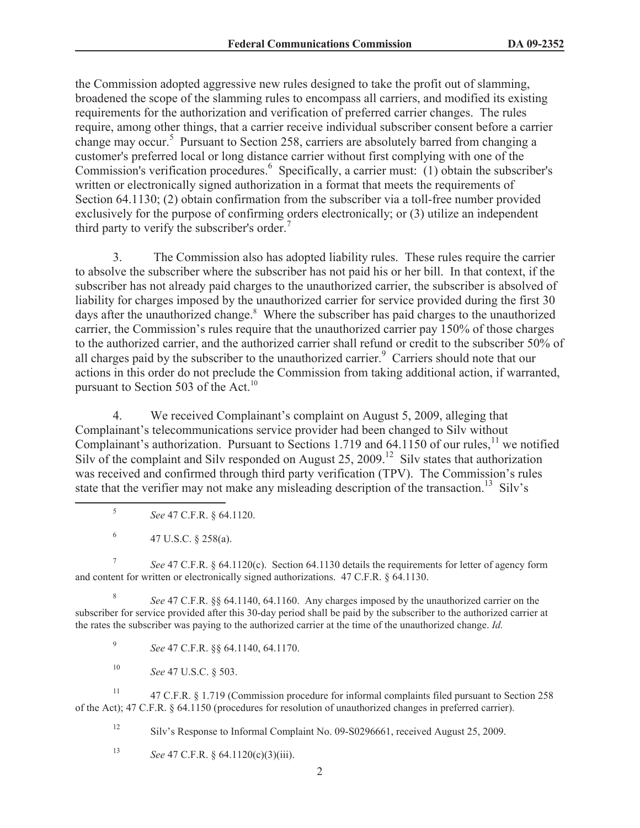the Commission adopted aggressive new rules designed to take the profit out of slamming, broadened the scope of the slamming rules to encompass all carriers, and modified its existing requirements for the authorization and verification of preferred carrier changes. The rules require, among other things, that a carrier receive individual subscriber consent before a carrier change may occur.<sup>5</sup> Pursuant to Section 258, carriers are absolutely barred from changing a customer's preferred local or long distance carrier without first complying with one of the Commission's verification procedures.<sup>6</sup> Specifically, a carrier must: (1) obtain the subscriber's written or electronically signed authorization in a format that meets the requirements of Section 64.1130; (2) obtain confirmation from the subscriber via a toll-free number provided exclusively for the purpose of confirming orders electronically; or (3) utilize an independent third party to verify the subscriber's order.<sup>7</sup>

3. The Commission also has adopted liability rules. These rules require the carrier to absolve the subscriber where the subscriber has not paid his or her bill. In that context, if the subscriber has not already paid charges to the unauthorized carrier, the subscriber is absolved of liability for charges imposed by the unauthorized carrier for service provided during the first 30 days after the unauthorized change.<sup>8</sup> Where the subscriber has paid charges to the unauthorized carrier, the Commission's rules require that the unauthorized carrier pay 150% of those charges to the authorized carrier, and the authorized carrier shall refund or credit to the subscriber 50% of all charges paid by the subscriber to the unauthorized carrier.<sup>9</sup> Carriers should note that our actions in this order do not preclude the Commission from taking additional action, if warranted, pursuant to Section 503 of the Act.<sup>10</sup>

4. We received Complainant's complaint on August 5, 2009, alleging that Complainant's telecommunications service provider had been changed to Silv without Complainant's authorization. Pursuant to Sections 1.719 and 64.1150 of our rules,<sup>11</sup> we notified Silv of the complaint and Silv responded on August 25, 2009.<sup>12</sup> Silv states that authorization was received and confirmed through third party verification (TPV). The Commission's rules state that the verifier may not make any misleading description of the transaction.<sup>13</sup> Silv's

- 5 *See* 47 C.F.R. § 64.1120.
- 6 47 U.S.C. § 258(a).

7 *See* 47 C.F.R. § 64.1120(c). Section 64.1130 details the requirements for letter of agency form and content for written or electronically signed authorizations. 47 C.F.R. § 64.1130.

8 *See* 47 C.F.R. §§ 64.1140, 64.1160. Any charges imposed by the unauthorized carrier on the subscriber for service provided after this 30-day period shall be paid by the subscriber to the authorized carrier at the rates the subscriber was paying to the authorized carrier at the time of the unauthorized change. *Id.*

9 *See* 47 C.F.R. §§ 64.1140, 64.1170.

<sup>10</sup> *See* 47 U.S.C. § 503.

<sup>11</sup> 47 C.F.R. § 1.719 (Commission procedure for informal complaints filed pursuant to Section 258 of the Act); 47 C.F.R. § 64.1150 (procedures for resolution of unauthorized changes in preferred carrier).

<sup>12</sup> Silv's Response to Informal Complaint No. 09-S0296661, received August 25, 2009.

<sup>13</sup> *See* 47 C.F.R. § 64.1120(c)(3)(iii).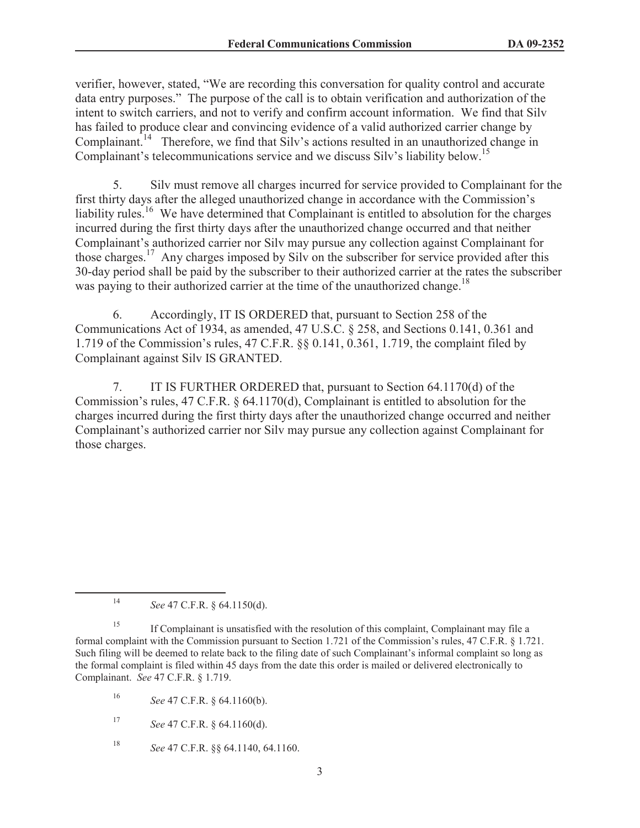verifier, however, stated, "We are recording this conversation for quality control and accurate data entry purposes." The purpose of the call is to obtain verification and authorization of the intent to switch carriers, and not to verify and confirm account information. We find that Silv has failed to produce clear and convincing evidence of a valid authorized carrier change by Complainant.<sup>14</sup> Therefore, we find that Silv's actions resulted in an unauthorized change in Complainant's telecommunications service and we discuss Silv's liability below.<sup>15</sup>

5. Silv must remove all charges incurred for service provided to Complainant for the first thirty days after the alleged unauthorized change in accordance with the Commission's liability rules.<sup>16</sup> We have determined that Complainant is entitled to absolution for the charges incurred during the first thirty days after the unauthorized change occurred and that neither Complainant's authorized carrier nor Silv may pursue any collection against Complainant for those charges.<sup>17</sup> Any charges imposed by Silv on the subscriber for service provided after this 30-day period shall be paid by the subscriber to their authorized carrier at the rates the subscriber was paying to their authorized carrier at the time of the unauthorized change.<sup>18</sup>

6. Accordingly, IT IS ORDERED that, pursuant to Section 258 of the Communications Act of 1934, as amended, 47 U.S.C. § 258, and Sections 0.141, 0.361 and 1.719 of the Commission's rules, 47 C.F.R. §§ 0.141, 0.361, 1.719, the complaint filed by Complainant against Silv IS GRANTED.

7. IT IS FURTHER ORDERED that, pursuant to Section 64.1170(d) of the Commission's rules, 47 C.F.R. § 64.1170(d), Complainant is entitled to absolution for the charges incurred during the first thirty days after the unauthorized change occurred and neither Complainant's authorized carrier nor Silv may pursue any collection against Complainant for those charges.

<sup>14</sup> *See* 47 C.F.R. § 64.1150(d).

<sup>&</sup>lt;sup>15</sup> If Complainant is unsatisfied with the resolution of this complaint, Complainant may file a formal complaint with the Commission pursuant to Section 1.721 of the Commission's rules, 47 C.F.R. § 1.721. Such filing will be deemed to relate back to the filing date of such Complainant's informal complaint so long as the formal complaint is filed within 45 days from the date this order is mailed or delivered electronically to Complainant. *See* 47 C.F.R. § 1.719.

<sup>16</sup> *See* 47 C.F.R. § 64.1160(b).

<sup>17</sup> *See* 47 C.F.R. § 64.1160(d).

<sup>18</sup> *See* 47 C.F.R. §§ 64.1140, 64.1160.